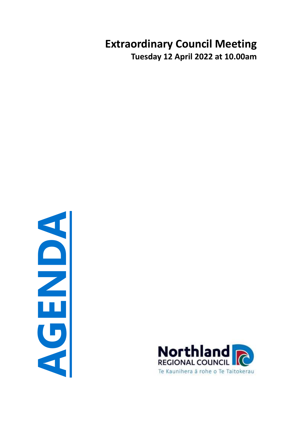# **Extraordinary Council Meeting Tuesday 12 April 2022 at 10.00am**



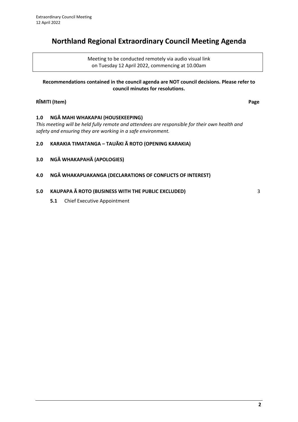# **Northland Regional Extraordinary Council Meeting Agenda**

Meeting to be conducted remotely via audio visual link on Tuesday 12 April 2022, commencing at 10.00am

### **Recommendations contained in the council agenda are NOT council decisions. Please refer to council minutes for resolutions.**

# **RĪMITI (Item) Page**

### **1.0 NGĀ MAHI WHAKAPAI (HOUSEKEEPING)**

*This meeting will be held fully remote and attendees are responsible for their own health and safety and ensuring they are working in a safe environment.*

### **2.0 KARAKIA TIMATANGA – TAUĀKI Ā ROTO (OPENING KARAKIA)**

- **3.0 NGĀ WHAKAPAHĀ (APOLOGIES)**
- **4.0 NGĀ WHAKAPUAKANGA (DECLARATIONS OF CONFLICTS OF INTEREST)**

### **5.0 KAUPAPA Ā ROTO (BUSINESS WITH THE PUBLIC EXCLUDED)** [3](#page-2-0)

**5.1** Chief Executive Appointment